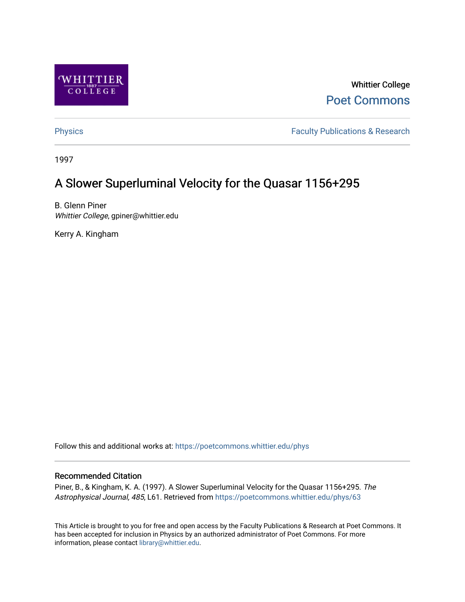

Whittier College [Poet Commons](https://poetcommons.whittier.edu/) 

[Physics](https://poetcommons.whittier.edu/phys) **Faculty Publications & Research Physics Faculty Publications & Research** 

1997

# A Slower Superluminal Velocity for the Quasar 1156+295

B. Glenn Piner Whittier College, gpiner@whittier.edu

Kerry A. Kingham

Follow this and additional works at: [https://poetcommons.whittier.edu/phys](https://poetcommons.whittier.edu/phys?utm_source=poetcommons.whittier.edu%2Fphys%2F63&utm_medium=PDF&utm_campaign=PDFCoverPages)

# Recommended Citation

Piner, B., & Kingham, K. A. (1997). A Slower Superluminal Velocity for the Quasar 1156+295. The Astrophysical Journal, 485, L61. Retrieved from [https://poetcommons.whittier.edu/phys/63](https://poetcommons.whittier.edu/phys/63?utm_source=poetcommons.whittier.edu%2Fphys%2F63&utm_medium=PDF&utm_campaign=PDFCoverPages)

This Article is brought to you for free and open access by the Faculty Publications & Research at Poet Commons. It has been accepted for inclusion in Physics by an authorized administrator of Poet Commons. For more information, please contact [library@whittier.edu.](mailto:library@whittier.edu)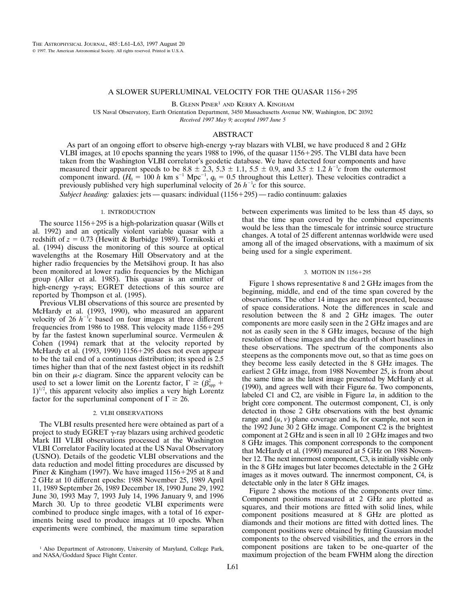## A SLOWER SUPERLUMINAL VELOCITY FOR THE QUASAR 1156+295

B. GLENN PINER<sup>1</sup> AND KERRY A. KINGHAM

US Naval Observatory, Earth Orientation Department, 3450 Massachusetts Avenue NW, Washington, DC 20392 *Received 1997 May 9; accepted 1997 June 5*

# ABSTRACT

As part of an ongoing effort to observe high-energy  $\gamma$ -ray blazars with VLBI, we have produced 8 and 2 GHz VLBI images, at 10 epochs spanning the years 1988 to 1996, of the quasar  $1156+295$ . The VLBI data have been taken from the Washington VLBI correlator's geodetic database. We have detected four components and have measured their apparent speeds to be 8.8  $\pm$  2.3, 5.3  $\pm$  1.1, 5.5  $\pm$  0.9, and 3.5  $\pm$  1.2 *h*<sup>-1</sup>*c* from the outermost component inward.  $(H_0 = 100 h \text{ km s}^{-1} \text{ Mpc}^{-1}$ ,  $q_0 = 0.5$  throughout this Letter). These velocities contradict a previously published very high superluminal velocity of 26  $h^{-1}c$  for this source.

*Subject heading:* galaxies: jets — quasars: individual (1156+295) — radio continuum: galaxies

#### 1. INTRODUCTION

The source  $1156+295$  is a high-polarization quasar (Wills et al. 1992) and an optically violent variable quasar with a redshift of  $z = 0.73$  (Hewitt & Burbidge 1989). Tornikoski et al. (1994) discuss the monitoring of this source at optical wavelengths at the Rosemary Hill Observatory and at the higher radio frequencies by the Metsähovi group. It has also been monitored at lower radio frequencies by the Michigan group (Aller et al. 1985). This quasar is an emitter of high-energy  $\gamma$ -rays; EGRET detections of this source are reported by Thompson et al. (1995).

Previous VLBI observations of this source are presented by McHardy et al. (1993, 1990), who measured an apparent velocity of 26  $h^{-1}c$  based on four images at three different frequencies from 1986 to 1988. This velocity made  $1156+295$ by far the fastest known superluminal source. Vermeulen & Cohen (1994) remark that at the velocity reported by McHardy et al. (1993, 1990) 1156+295 does not even appear to be the tail end of a continuous distribution; its speed is 2.5 times higher than that of the next fastest object in its redshift bin on their  $\mu$ -*z* diagram. Since the apparent velocity can be used to set a lower limit on the Lorentz factor,  $\Gamma \geq (\beta_{app}^2 +$  $1)^{1/2}$ , this apparent velocity also implies a very high Lorentz factor for the superluminal component of  $\Gamma \ge 26$ .

#### 2. VLBI OBSERVATIONS

The VLBI results presented here were obtained as part of a project to study EGRET  $\gamma$ -ray blazars using archived geodetic Mark III VLBI observations processed at the Washington VLBI Correlator Facility located at the US Naval Observatory (USNO). Details of the geodetic VLBI observations and the data reduction and model fitting procedures are discussed by Piner & Kingham (1997). We have imaged  $1156+295$  at 8 and 2 GHz at 10 different epochs: 1988 November 25, 1989 April 11, 1989 September 26, 1989 December 18, 1990 June 29, 1992 June 30, 1993 May 7, 1993 July 14, 1996 January 9, and 1996 March 30. Up to three geodetic VLBI experiments were combined to produce single images, with a total of 16 experiments being used to produce images at 10 epochs. When experiments were combined, the maximum time separation between experiments was limited to be less than 45 days, so that the time span covered by the combined experiments would be less than the timescale for intrinsic source structure changes. A total of 25 different antennas worldwide were used among all of the imaged observations, with a maximum of six being used for a single experiment.

### 3. MOTION IN 1156+295

Figure 1 shows representative 8 and 2 GHz images from the beginning, middle, and end of the time span covered by the observations. The other 14 images are not presented, because of space considerations. Note the differences in scale and resolution between the 8 and 2 GHz images. The outer components are more easily seen in the 2 GHz images and are not as easily seen in the 8 GHz images, because of the high resolution of these images and the dearth of short baselines in these observations. The spectrum of the components also steepens as the components move out, so that as time goes on they become less easily detected in the 8 GHz images. The earliest 2 GHz image, from 1988 November 25, is from about the same time as the latest image presented by McHardy et al. (1990), and agrees well with their Figure 6*a*. Two components, labeled C1 and C2, are visible in Figure 1*a*, in addition to the bright core component. The outermost component, C1, is only detected in those 2 GHz observations with the best dynamic range and  $(u, v)$  plane coverage and is, for example, not seen in the 1992 June 30 2 GHz image. Component C2 is the brightest component at 2 GHz and is seen in all 10 2 GHz images and two 8 GHz images. This component corresponds to the component that McHardy et al. (1990) measured at 5 GHz on 1988 November 12. The next innermost component, C3, is initially visible only in the 8 GHz images but later becomes detectable in the 2 GHz images as it moves outward. The innermost component, C4, is detectable only in the later 8 GHz images.

Figure 2 shows the motions of the components over time. Component positions measured at 2 GHz are plotted as squares, and their motions are fitted with solid lines, while component positions measured at 8 GHz are plotted as diamonds and their motions are fitted with dotted lines. The component positions were obtained by fitting Gaussian model components to the observed visibilities, and the errors in the component positions are taken to be one-quarter of the maximum projection of the beam FWHM along the direction

<sup>&</sup>lt;sup>1</sup> Also Department of Astronomy, University of Maryland, College Park, and NASA/Goddard Space Flight Center.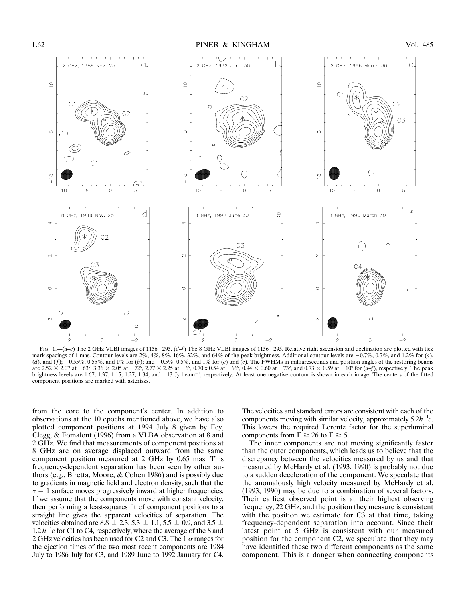

FIG. 1.— $(a-c)$  The 2 GHz VLBI images of 1156+295.  $(d-f)$  The 8 GHz VLBI images of 1156+295. Relative right ascension and declination are plotted with tick mark spacings of 1 mas. Contour levels are  $2\%, 4\%, 8\%, 16\%, 32\%,$  and  $64\%$  of the peak brightness. Additional contour levels are  $-0.7\%, 0.7\%$ , and 1.2% for (*a*), (*d*), and (*f*);  $-0.55\%$ , 0.55%, and 1% for (*b*); and  $-0.5\%$ , 0.5%, and 1% for (*c*) and (*e*). The FWHMs in milliarcseconds and position angles of the restoring beams are 2.52  $\times$  2.07 at  $-63^{\circ}$ , 3.36  $\times$  2.05 at  $-72^{\circ}$ , 2.77  $\times$  2.25 at  $-6^{\circ}$ , 0.70 x 0.54 at  $-66^{\circ}$ , 0.94  $\times$  0.60 at  $-73^{\circ}$ , and 0.73  $\times$  0.59 at  $-10^{\circ}$  for (*a–f*), respectively. The peak brightness levels are 1.67, 1.37, 1.15, 1.27, 1.34, and 1.13 Jy beam<sup>-1</sup>, respectively. At least one negative contour is shown in each image. The centers of the fitted component positions are marked with asterisks.

from the core to the component's center. In addition to observations at the 10 epochs mentioned above, we have also plotted component positions at 1994 July 8 given by Fey, Clegg, & Fomalont (1996) from a VLBA observation at 8 and 2 GHz. We find that measurements of component positions at 8 GHz are on average displaced outward from the same component position measured at 2 GHz by 0.65 mas. This frequency-dependent separation has been seen by other authors (e.g., Biretta, Moore, & Cohen 1986) and is possibly due to gradients in magnetic field and electron density, such that the  $\tau = 1$  surface moves progressively inward at higher frequencies. If we assume that the components move with constant velocity, then performing a least-squares fit of component positions to a straight line gives the apparent velocities of separation. The velocities obtained are 8.8  $\pm$  2.3, 5.3  $\pm$  1.1, 5.5  $\pm$  0.9, and 3.5  $\pm$  $1.2 h^{-1}c$  for C1 to C4, respectively, where the average of the 8 and 2 GHz velocities has been used for C2 and C3. The 1  $\sigma$  ranges for the ejection times of the two most recent components are 1984 July to 1986 July for C3, and 1989 June to 1992 January for C4.

The velocities and standard errors are consistent with each of the components moving with similar velocity, approximately  $5.2h^{-1}c$ . This lowers the required Lorentz factor for the superluminal components from  $\Gamma \ge 26$  to  $\Gamma \ge 5$ .

The inner components are not moving significantly faster than the outer components, which leads us to believe that the discrepancy between the velocities measured by us and that measured by McHardy et al. (1993, 1990) is probably not due to a sudden deceleration of the component. We speculate that the anomalously high velocity measured by McHardy et al. (1993, 1990) may be due to a combination of several factors. Their earliest observed point is at their highest observing frequency, 22 GHz, and the position they measure is consistent with the position we estimate for C3 at that time, taking frequency-dependent separation into account. Since their latest point at 5 GHz is consistent with our measured position for the component C2, we speculate that they may have identified these two different components as the same component. This is a danger when connecting components